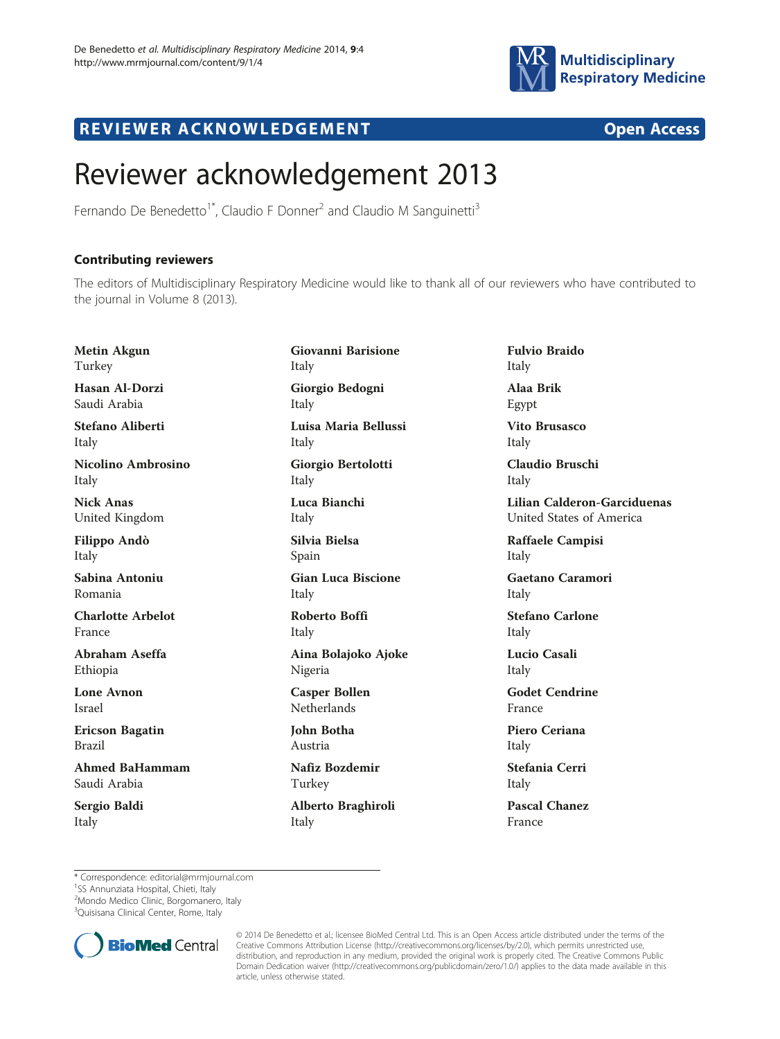

## R EVI EW E R ACKNOW L EDG EM EN T Open Access

## Reviewer acknowledgement 2013

Fernando De Benedetto<sup>1\*</sup>, Claudio F Donner<sup>2</sup> and Claudio M Sanguinetti<sup>3</sup>

## Contributing reviewers

The editors of Multidisciplinary Respiratory Medicine would like to thank all of our reviewers who have contributed to the journal in Volume 8 (2013).

Metin Akgun Turkey Hasan Al-Dorzi Saudi Arabia Stefano Aliberti Italy Nicolino Ambrosino Italy Nick Anas United Kingdom Filippo Andò Italy Sabina Antoniu Romania Charlotte Arbelot France Abraham Aseffa Ethiopia Lone Avnon Israel Ericson Bagatin Brazil Ahmed BaHammam Saudi Arabia

Sergio Baldi Italy

Giovanni Barisione Italy Giorgio Bedogni Italy Luisa Maria Bellussi Italy Giorgio Bertolotti Italy Luca Bianchi Italy Silvia Bielsa Spain Gian Luca Biscione Italy Roberto Boffi Italy Aina Bolajoko Ajoke Nigeria Casper Bollen Netherlands John Botha Austria Nafiz Bozdemir Turkey

Alberto Braghiroli Italy

Fulvio Braido Italy Alaa Brik Egypt Vito Brusasco Italy Claudio Bruschi Italy Lilian Calderon-Garciduenas United States of America Raffaele Campisi Italy

Gaetano Caramori Italy

Stefano Carlone Italy

Lucio Casali Italy

Godet Cendrine France

Piero Ceriana Italy

Stefania Cerri Italy

Pascal Chanez France

\* Correspondence: [editorial@mrmjournal.com](mailto:editorial@mrmjournal.com) <sup>1</sup>

<sup>1</sup>SS Annunziata Hospital, Chieti, Italy

<sup>2</sup>Mondo Medico Clinic, Borgomanero, Italy

<sup>3</sup>Quisisana Clinical Center, Rome, Italy



<sup>© 2014</sup> De Benedetto et al.; licensee BioMed Central Ltd. This is an Open Access article distributed under the terms of the Creative Commons Attribution License (<http://creativecommons.org/licenses/by/2.0>), which permits unrestricted use, distribution, and reproduction in any medium, provided the original work is properly cited. The Creative Commons Public Domain Dedication waiver [\(http://creativecommons.org/publicdomain/zero/1.0/\)](http://creativecommons.org/publicdomain/zero/1.0/) applies to the data made available in this article, unless otherwise stated.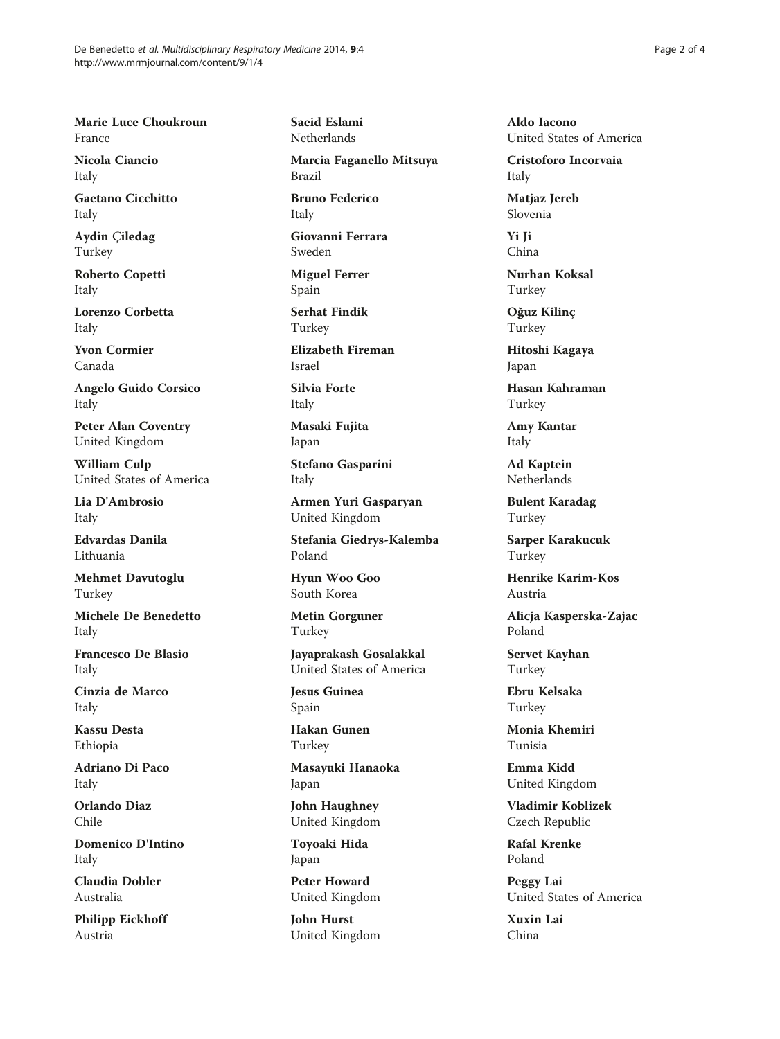Marie Luce Choukroun France

Nicola Ciancio Italy

Gaetano Cicchitto Italy

Aydin Çiledag Turkey

Roberto Copetti Italy

Lorenzo Corbetta Italy

Yvon Cormier Canada

Angelo Guido Corsico Italy

Peter Alan Coventry United Kingdom

William Culp United States of America

Lia D'Ambrosio Italy

Edvardas Danila Lithuania

Mehmet Davutoglu Turkey

Michele De Benedetto Italy

Francesco De Blasio Italy

Cinzia de Marco Italy

Kassu Desta Ethiopia

Adriano Di Paco Italy

Orlando Diaz Chile

Domenico D'Intino Italy

Claudia Dobler Australia

Philipp Eickhoff Austria

Saeid Eslami **Netherlands** 

Marcia Faganello Mitsuya Brazil

Bruno Federico Italy

Giovanni Ferrara Sweden

Miguel Ferrer Spain

Serhat Findik Turkey

Elizabeth Fireman Israel

Silvia Forte Italy

Masaki Fujita Japan

Stefano Gasparini Italy

Armen Yuri Gasparyan United Kingdom

Stefania Giedrys-Kalemba Poland

Hyun Woo Goo South Korea

Metin Gorguner Turkey

Jayaprakash Gosalakkal United States of America

Jesus Guinea Spain

Hakan Gunen Turkey

Masayuki Hanaoka Japan

John Haughney United Kingdom

Toyoaki Hida Japan

Peter Howard United Kingdom

John Hurst United Kingdom Aldo Iacono United States of America

Cristoforo Incorvaia Italy

Matjaz Jereb Slovenia

Yi Ji China

Nurhan Koksal Turkey

Oğuz Kilinç Turkey

Hitoshi Kagaya Japan

Hasan Kahraman Turkey

Amy Kantar Italy

Ad Kaptein Netherlands

Bulent Karadag Turkey

Sarper Karakucuk Turkey

Henrike Karim-Kos Austria

Alicja Kasperska-Zajac Poland

Servet Kayhan Turkey

Ebru Kelsaka Turkey

Monia Khemiri Tunisia

Emma Kidd United Kingdom

Vladimir Koblizek Czech Republic

Rafal Krenke Poland

Peggy Lai United States of America

Xuxin Lai China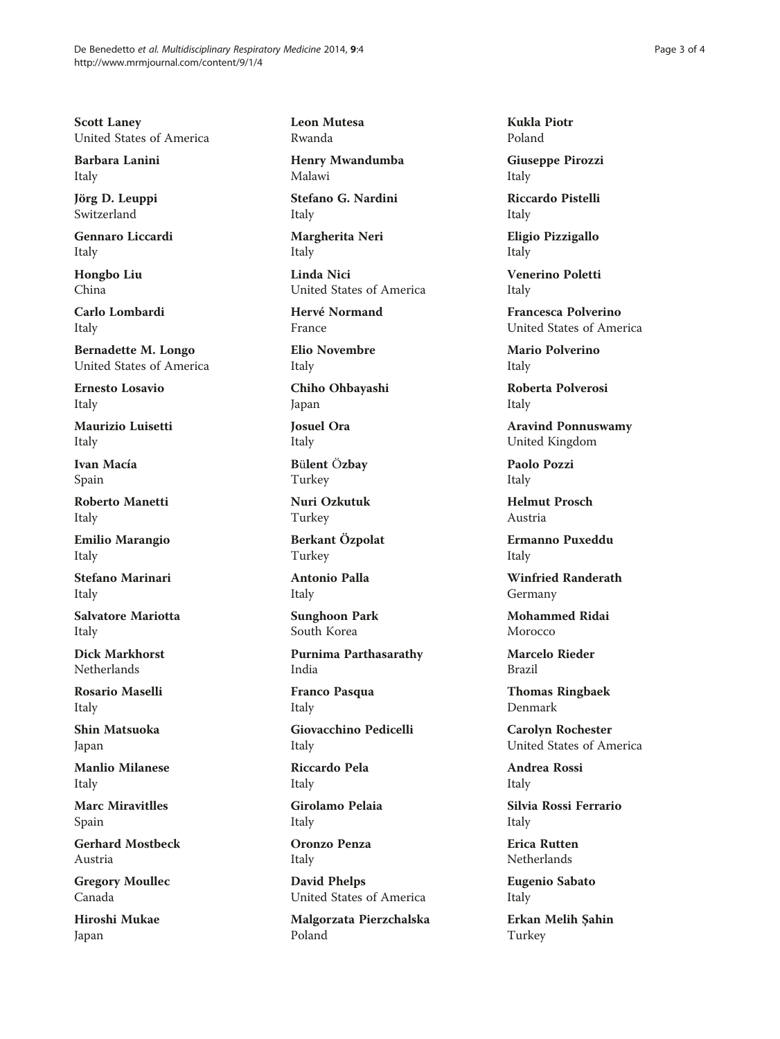Scott Laney United States of America

Barbara Lanini Italy

Jörg D. Leuppi Switzerland

Gennaro Liccardi Italy

Hongbo Liu China

Carlo Lombardi Italy

Bernadette M. Longo United States of America

Ernesto Losavio Italy

Maurizio Luisetti Italy

Ivan Macía Spain

Roberto Manetti Italy

Emilio Marangio Italy

Stefano Marinari Italy

Salvatore Mariotta Italy

Dick Markhorst **Netherlands** 

Rosario Maselli Italy

Shin Matsuoka Japan

Manlio Milanese Italy

Marc Miravitlles Spain

Gerhard Mostbeck Austria

Gregory Moullec Canada

Hiroshi Mukae Japan

Leon Mutesa Rwanda

Henry Mwandumba Malawi

Stefano G. Nardini Italy

Margherita Neri Italy

Linda Nici United States of America

Hervé Normand France

Elio Novembre Italy

Chiho Ohbayashi Japan

Josuel Ora Italy

Bülent Özbay Turkey

Nuri Ozkutuk Turkey

Berkant Özpolat Turkey

Antonio Palla Italy

Sunghoon Park South Korea

Purnima Parthasarathy India

Franco Pasqua Italy

Giovacchino Pedicelli Italy

Riccardo Pela Italy

Girolamo Pelaia Italy

Oronzo Penza Italy

David Phelps United States of America

Malgorzata Pierzchalska Poland

Kukla Piotr Poland

Giuseppe Pirozzi Italy

Riccardo Pistelli Italy

Eligio Pizzigallo Italy

Venerino Poletti Italy

Francesca Polverino United States of America

Mario Polverino Italy

Roberta Polverosi Italy

Aravind Ponnuswamy United Kingdom

Paolo Pozzi Italy

Helmut Prosch Austria

Ermanno Puxeddu Italy

Winfried Randerath Germany

Mohammed Ridai Morocco

Marcelo Rieder Brazil

Thomas Ringbaek Denmark

Carolyn Rochester United States of America

Andrea Rossi Italy

Silvia Rossi Ferrario Italy

Erica Rutten Netherlands

Eugenio Sabato Italy

Erkan Melih Şahin Turkey